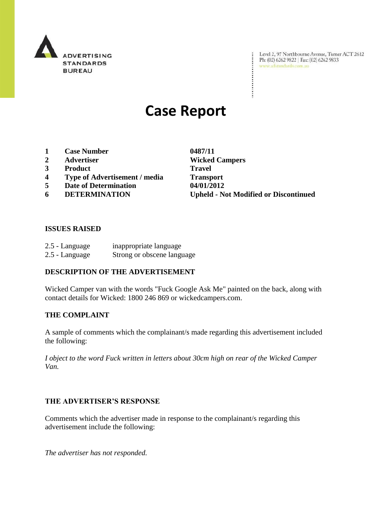

Level 2, 97 Northbourne Avenue, Turner ACT 2612<br>Ph: (02) 6262 9822 | Fax: (02) 6262 9833<br>www.adstandards.com.au

# **Case Report**

- **1 Case Number 0487/11**
- 
- **3 Product Travel**
- **4 Type of Advertisement / media Transport**
- **5 Date of Determination 04/01/2012**
- 

**2 Advertiser Wicked Campers 6 DETERMINATION Upheld - Not Modified or Discontinued**

÷

#### **ISSUES RAISED**

| 2.5 - Language | inappropriate language     |
|----------------|----------------------------|
| 2.5 - Language | Strong or obscene language |

#### **DESCRIPTION OF THE ADVERTISEMENT**

Wicked Camper van with the words "Fuck Google Ask Me" painted on the back, along with contact details for Wicked: 1800 246 869 or wickedcampers.com.

#### **THE COMPLAINT**

A sample of comments which the complainant/s made regarding this advertisement included the following:

*I object to the word Fuck written in letters about 30cm high on rear of the Wicked Camper Van.*

#### **THE ADVERTISER'S RESPONSE**

Comments which the advertiser made in response to the complainant/s regarding this advertisement include the following:

*The advertiser has not responded.*